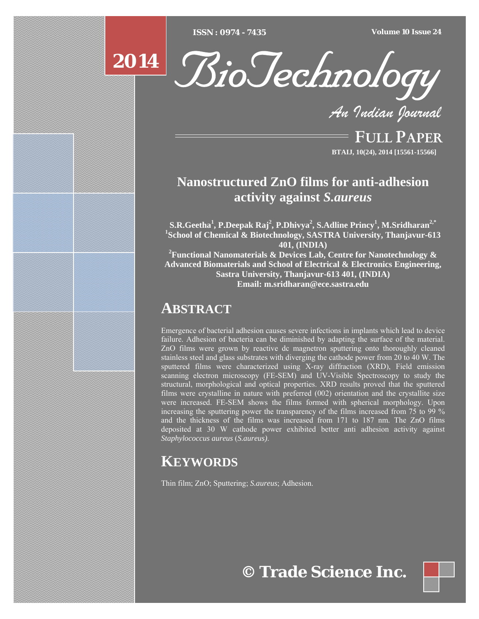



*An Indian Journal*

FULL PAPER **BTAIJ, 10(24), 2014 [15561-15566]**

# **Nanostructured ZnO films for anti-adhesion activity against** *S.aureus*

 $\mathbf{S.R. Geetha}^{1}, \mathbf{P.D}$ eepak Raj<sup>2</sup>, P.Dhivya<sup>2</sup>, S.Adline Princy<sup>1</sup>, M.Sridharan<sup>2,\*</sup> **1 School of Chemical & Biotechnology, SASTRA University, Thanjavur-613 401, (INDIA)** 

**2 Functional Nanomaterials & Devices Lab, Centre for Nanotechnology & Advanced Biomaterials and School of Electrical & Electronics Engineering, Sastra University, Thanjavur-613 401, (INDIA) Email: m.sridharan@ece.sastra.edu** 

## **ABSTRACT**

Emergence of bacterial adhesion causes severe infections in implants which lead to device failure. Adhesion of bacteria can be diminished by adapting the surface of the material. ZnO films were grown by reactive dc magnetron sputtering onto thoroughly cleaned stainless steel and glass substrates with diverging the cathode power from 20 to 40 W. The sputtered films were characterized using X-ray diffraction (XRD), Field emission scanning electron microscopy (FE-SEM) and UV-Visible Spectroscopy to study the structural, morphological and optical properties. XRD results proved that the sputtered films were crystalline in nature with preferred (002) orientation and the crystallite size were increased. FE-SEM shows the films formed with spherical morphology. Upon increasing the sputtering power the transparency of the films increased from 75 to 99 % and the thickness of the films was increased from 171 to 187 nm. The ZnO films deposited at 30 W cathode power exhibited better anti adhesion activity against *Staphylococcus aureus* (*S.aureus)*.

# **KEYWORDS**

Thin film; ZnO; Sputtering; *S.aureus*; Adhesion.

**© Trade Science Inc.**

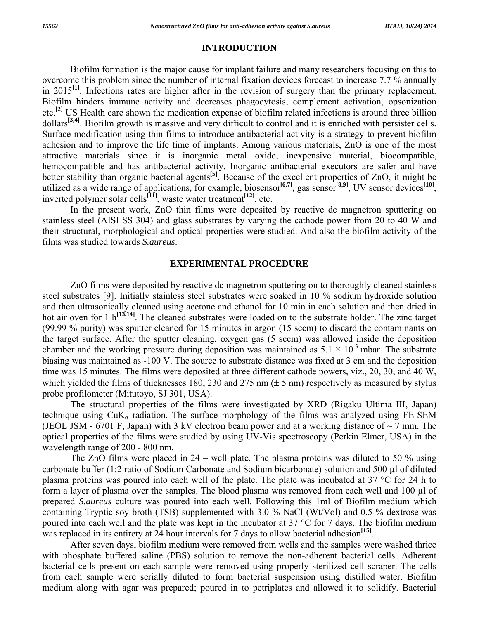#### **INTRODUCTION**

 Biofilm formation is the major cause for implant failure and many researchers focusing on this to overcome this problem since the number of internal fixation devices forecast to increase 7.7 % annually in 2015**[1]**. Infections rates are higher after in the revision of surgery than the primary replacement. Biofilm hinders immune activity and decreases phagocytosis, complement activation, opsonization etc.**[2]** US Health care shown the medication expense of biofilm related infections is around three billion dollars**[3,4]**. Biofilm growth is massive and very difficult to control and it is enriched with persister cells. Surface modification using thin films to introduce antibacterial activity is a strategy to prevent biofilm adhesion and to improve the life time of implants. Among various materials, ZnO is one of the most attractive materials since it is inorganic metal oxide, inexpensive material, biocompatible, hemocompatible and has antibacterial activity. Inorganic antibacterial executors are safer and have better stability than organic bacterial agents**[5]**. Because of the excellent properties of ZnO, it might be utilized as a wide range of applications, for example, biosensor<sup>[6,7]</sup>, gas sensor<sup>[8,9]</sup>, UV sensor devices<sup>[10]</sup>, inverted polymer solar cells**[11]**, waste water treatment**[12]**, etc.

 In the present work, ZnO thin films were deposited by reactive dc magnetron sputtering on stainless steel (AISI SS 304) and glass substrates by varying the cathode power from 20 to 40 W and their structural, morphological and optical properties were studied. And also the biofilm activity of the films was studied towards *S.aureus*.

## **EXPERIMENTAL PROCEDURE**

 ZnO films were deposited by reactive dc magnetron sputtering on to thoroughly cleaned stainless steel substrates [9]. Initially stainless steel substrates were soaked in 10 % sodium hydroxide solution and then ultrasonically cleaned using acetone and ethanol for 10 min in each solution and then dried in hot air oven for 1 h<sup>[13,14]</sup>. The cleaned substrates were loaded on to the substrate holder. The zinc target (99.99 % purity) was sputter cleaned for 15 minutes in argon (15 sccm) to discard the contaminants on the target surface. After the sputter cleaning, oxygen gas (5 sccm) was allowed inside the deposition chamber and the working pressure during deposition was maintained as  $5.1 \times 10^{-3}$  mbar. The substrate biasing was maintained as -100 V. The source to substrate distance was fixed at 3 cm and the deposition time was 15 minutes. The films were deposited at three different cathode powers, viz., 20, 30, and 40 W, which yielded the films of thicknesses 180, 230 and 275 nm  $(\pm 5 \text{ nm})$  respectively as measured by stylus probe profilometer (Mitutoyo, SJ 301, USA).

 The structural properties of the films were investigated by XRD (Rigaku Ultima III, Japan) technique using  $CuK_a$  radiation. The surface morphology of the films was analyzed using FE-SEM (JEOL JSM - 6701 F, Japan) with 3 kV electron beam power and at a working distance of  $\sim$  7 mm. The optical properties of the films were studied by using UV-Vis spectroscopy (Perkin Elmer, USA) in the wavelength range of 200 - 800 nm.

 The ZnO films were placed in 24 – well plate. The plasma proteins was diluted to 50 % using carbonate buffer (1:2 ratio of Sodium Carbonate and Sodium bicarbonate) solution and 500 µl of diluted plasma proteins was poured into each well of the plate. The plate was incubated at 37 °C for 24 h to form a layer of plasma over the samples. The blood plasma was removed from each well and 100 µl of prepared *S.aureus* culture was poured into each well. Following this 1ml of Biofilm medium which containing Tryptic soy broth (TSB) supplemented with 3.0 % NaCl (Wt/Vol) and 0.5 % dextrose was poured into each well and the plate was kept in the incubator at 37 °C for 7 days. The biofilm medium was replaced in its entirety at  $24$  hour intervals for 7 days to allow bacterial adhesion<sup>[15]</sup>.

 After seven days, biofilm medium were removed from wells and the samples were washed thrice with phosphate buffered saline (PBS) solution to remove the non-adherent bacterial cells. Adherent bacterial cells present on each sample were removed using properly sterilized cell scraper. The cells from each sample were serially diluted to form bacterial suspension using distilled water. Biofilm medium along with agar was prepared; poured in to petriplates and allowed it to solidify. Bacterial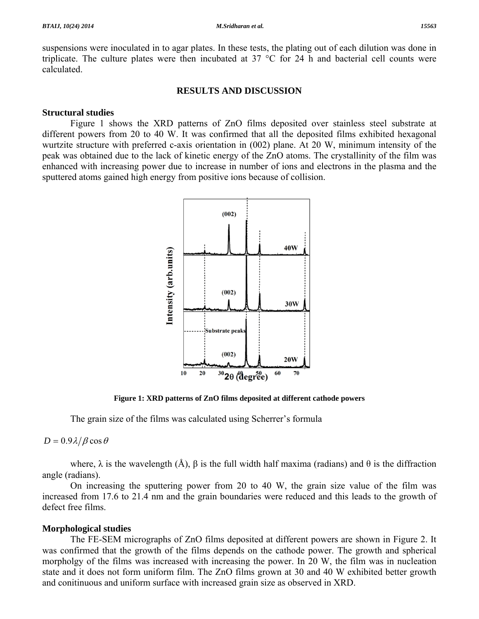suspensions were inoculated in to agar plates. In these tests, the plating out of each dilution was done in triplicate. The culture plates were then incubated at 37 °C for 24 h and bacterial cell counts were calculated.

## **RESULTS AND DISCUSSION**

## **Structural studies**

 Figure 1 shows the XRD patterns of ZnO films deposited over stainless steel substrate at different powers from 20 to 40 W. It was confirmed that all the deposited films exhibited hexagonal wurtzite structure with preferred c-axis orientation in (002) plane. At 20 W, minimum intensity of the peak was obtained due to the lack of kinetic energy of the ZnO atoms. The crystallinity of the film was enhanced with increasing power due to increase in number of ions and electrons in the plasma and the sputtered atoms gained high energy from positive ions because of collision.



**Figure 1: XRD patterns of ZnO films deposited at different cathode powers** 

The grain size of the films was calculated using Scherrer's formula

## $D = 0.9\lambda/\beta \cos \theta$

where,  $\lambda$  is the wavelength (Å),  $\beta$  is the full width half maxima (radians) and  $\theta$  is the diffraction angle (radians).

 On increasing the sputtering power from 20 to 40 W, the grain size value of the film was increased from 17.6 to 21.4 nm and the grain boundaries were reduced and this leads to the growth of defect free films.

## **Morphological studies**

 The FE-SEM micrographs of ZnO films deposited at different powers are shown in Figure 2. It was confirmed that the growth of the films depends on the cathode power. The growth and spherical morpholgy of the films was increased with increasing the power. In 20 W, the film was in nucleation state and it does not form uniform film. The ZnO films grown at 30 and 40 W exhibited better growth and conitinuous and uniform surface with increased grain size as observed in XRD.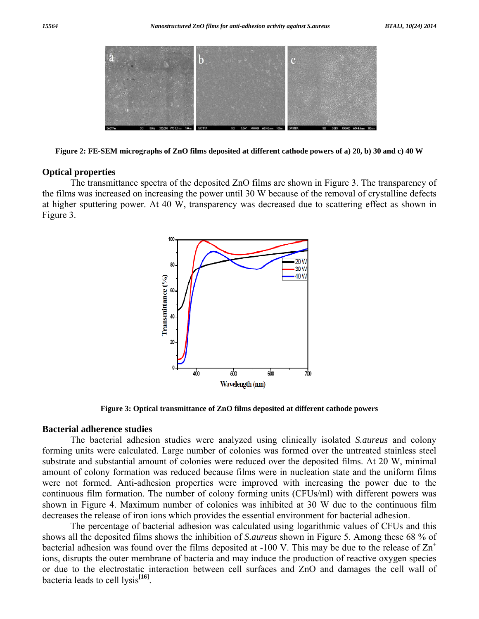

**Figure 2: FE-SEM micrographs of ZnO films deposited at different cathode powers of a) 20, b) 30 and c) 40 W** 

### **Optical properties**

 The transmittance spectra of the deposited ZnO films are shown in Figure 3. The transparency of the films was increased on increasing the power until 30 W because of the removal of crystalline defects at higher sputtering power. At 40 W, transparency was decreased due to scattering effect as shown in Figure 3.



**Figure 3: Optical transmittance of ZnO films deposited at different cathode powers** 

### **Bacterial adherence studies**

 The bacterial adhesion studies were analyzed using clinically isolated *S.aureus* and colony forming units were calculated. Large number of colonies was formed over the untreated stainless steel substrate and substantial amount of colonies were reduced over the deposited films. At 20 W, minimal amount of colony formation was reduced because films were in nucleation state and the uniform films were not formed. Anti-adhesion properties were improved with increasing the power due to the continuous film formation. The number of colony forming units (CFUs/ml) with different powers was shown in Figure 4. Maximum number of colonies was inhibited at 30 W due to the continuous film decreases the release of iron ions which provides the essential environment for bacterial adhesion.

 The percentage of bacterial adhesion was calculated using logarithmic values of CFUs and this shows all the deposited films shows the inhibition of *S.aureus* shown in Figure 5. Among these 68 % of bacterial adhesion was found over the films deposited at -100 V. This may be due to the release of  $\text{Zn}^+$ ions, disrupts the outer membrane of bacteria and may induce the production of reactive oxygen species or due to the electrostatic interaction between cell surfaces and ZnO and damages the cell wall of bacteria leads to cell lysis**[16]**.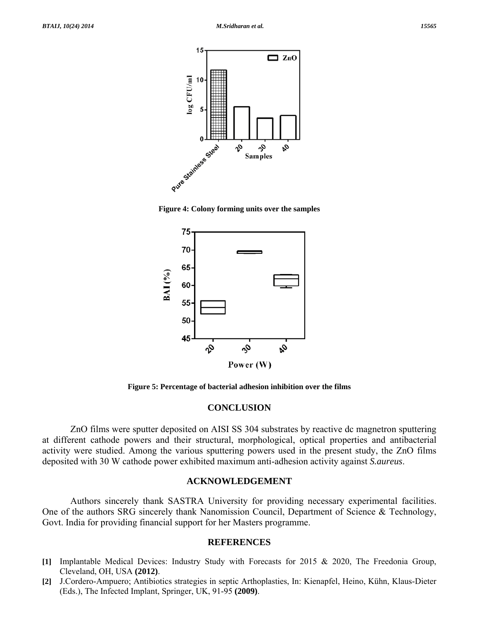





**Figure 5: Percentage of bacterial adhesion inhibition over the films** 

### **CONCLUSION**

 ZnO films were sputter deposited on AISI SS 304 substrates by reactive dc magnetron sputtering at different cathode powers and their structural, morphological, optical properties and antibacterial activity were studied. Among the various sputtering powers used in the present study, the ZnO films deposited with 30 W cathode power exhibited maximum anti-adhesion activity against *S.aureus*.

## **ACKNOWLEDGEMENT**

 Authors sincerely thank SASTRA University for providing necessary experimental facilities. One of the authors SRG sincerely thank Nanomission Council, Department of Science & Technology, Govt. India for providing financial support for her Masters programme.

#### **REFERENCES**

- **[1]** Implantable Medical Devices: Industry Study with Forecasts for 2015 & 2020, The Freedonia Group, Cleveland, OH, USA **(2012)**.
- **[2]** J.Cordero-Ampuero; Antibiotics strategies in septic Arthoplasties, In: Kienapfel, Heino, Kühn, Klaus-Dieter (Eds.), The Infected Implant, Springer, UK, 91-95 **(2009)**.